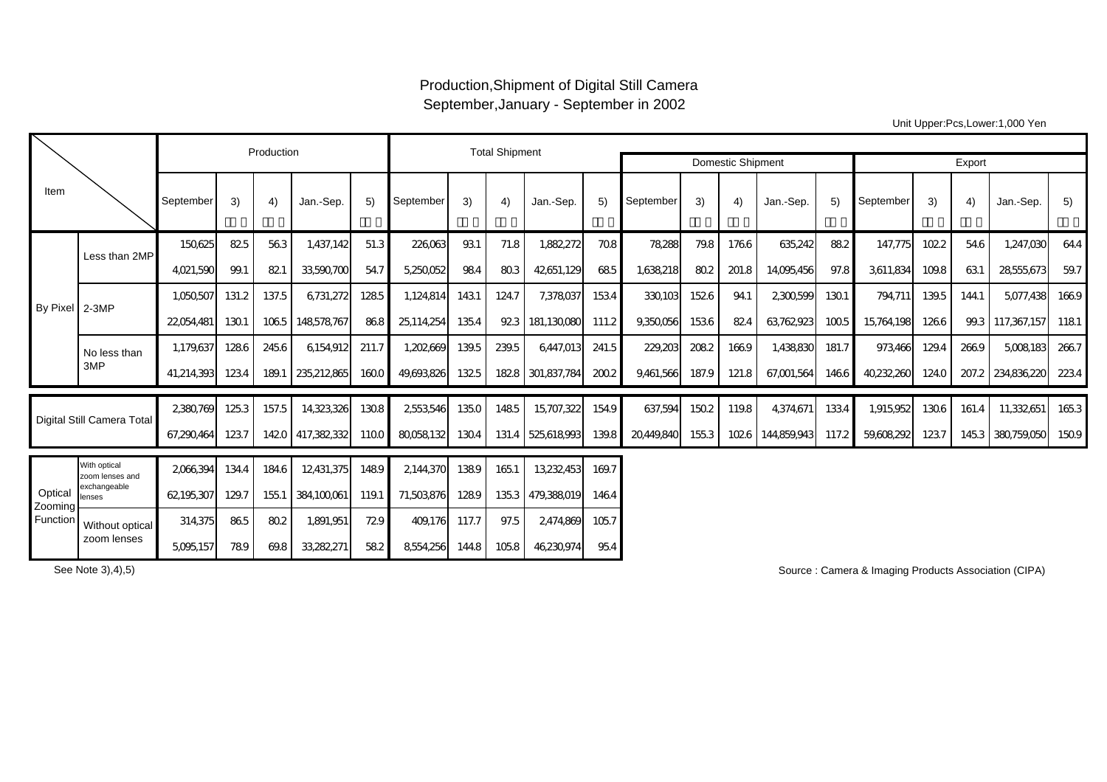## Production,Shipment of Digital Still Camera September,January - September in 2002

Export 3) | 4) |Jan.-Sep. | 5) |September | 3) | 4) |Jan.-Sep. | 5) |September | 3) | 4) |Jan.-Sep. | 5) |September | 3) | 4) |Jan.-Sep. | 5) 150,625 82.5 56.3 1,437,142 51.3 226,063 93.1 71.8 1,882,272 70.8 78,288 79.8 176.6 635,242 88.2 147,775 102.2 54.6 1,247,030 64.4 4,021,590| 99.1| 82.1| 33,590,700| 54.7|| 5,250,052| 98.4| 80.3| 42,651,129| 68.5|| 1,638,218| 80.2| 201.8| 14,095,456| 97.8|| 3,611,834| 109.8| 63.1| 28,555,673| 59.7 1,050,507| 131.2| 137.5| 6,731,272| 128.5| 1,124,814| 143.1| 124.7| 7,378,037| 153.4| 330,103| 152.6| 94.1| 2,300,599| 130.1| 794,711| 139.5| 144.1| 5,077,438| 166.9 22,054,481| 130.1 | 106.5 | 148,578,767| 86.8 | 25,114,254| 135.4 | 92.3 |181,130,080| 111.2 | 9,350,056| 82.4 | 63,762,923| 100.5 | 15,764,198| 126.6 | 99.3 | 117,367,157 | 118.1 1,179,637| 128.6 | 245.6 | 6,154,912| 211.7 || 1,202,669| 139.5 | 239.5 | 6,447,013| 241.5 || 229,203| 208.2 | 166.9 | 1,438,830| 181.7 || 973,466| 129.4 | 266.9 | 5,008,183| 266.7 41,214,393| 123.4| 189.1 |235,212,865| 160.0 | 49,693,826| 132.5 | 182.8 | 301,837,784| 200.2 | 9,461,566| 187.9 | 121.8 | 67,001,564| 146.6 | 40,232,260| 124.0 | 207.2 |234,836,220 | 223.4 2,380,769| 125.3| 157.5| 14,323,326| 130.8| 2,553,546| 135.0| 148.5| 15,707,322| 154.9| 637,594| 150.2| 119.8| 4,374,671| 133.4| 1,915,952| 130.6| 161.4| 11,332,651| 165.3 67,290,464| 123.7 | 142.0 | 417,382,332| 110.0 || 80,058,132| 130.4 | 131.4 | 525,618,993| 139.8 || 20,449,840| 155.3 | 102.6 | 144,859,943| 117.2 || 59,608,292| 123.7 | 145.3 | 380,759,050| 150.9 2,066,394 134.4 184.6 12,431,375 148.9 2144,370 138.9 165.1 13,232,453 169.7 62,195,307 129.7 155.1 384,100,061 119.1 71,503,876 128.9 135.3 479,388,019 146.4 314,375 86.5 80.2 1,891,951 72.9 409,176 117.7 97.5 2,474,869 105.7 5,095,157 78.9 69.8 33,282,271 58.2 8,554,256 144.8 105.8 46,230,974 95.4 September Item No less than 3MP Less than 2MP**September** Production **National Contract Contract Contract Contract Contract Contract Contract Contract Contract Contract Contract Contract Contract Contract Contract Contract Contract Contract Contract Contract Contract Contract Con** September 3) 4) Jan.-Sep. 5) September **Optical** Zooming Function By Pixel 2-3MP Without optical zoom lensesDigital Still Camera Total With optical zoom lenses andexchangeable lenses

See Note 3),4),5)

Source : Camera & Imaging Products Association (CIPA)

Unit Upper:Pcs,Lower:1,000 Yen